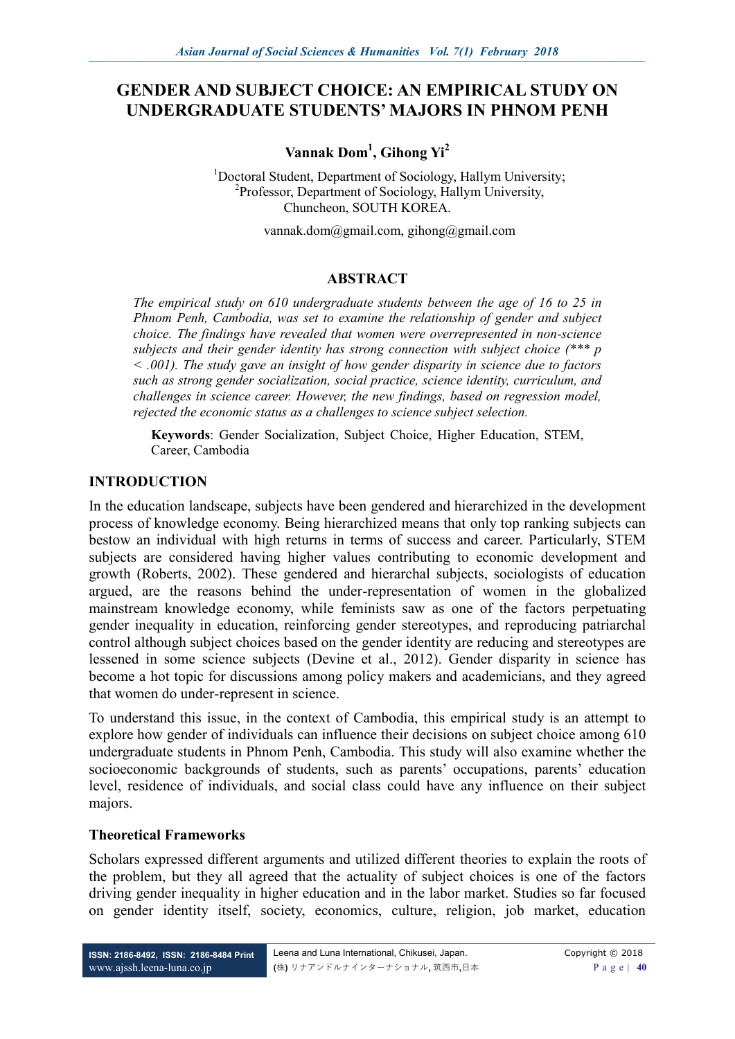# **GENDER AND SUBJECT CHOICE: AN EMPIRICAL STUDY ON UNDERGRADUATE STUDENTS' MAJORS IN PHNOM PENH**

**Vannak Dom<sup>1</sup> , Gihong Yi<sup>2</sup>**

<sup>1</sup>Doctoral Student, Department of Sociology, Hallym University; 2 Professor, Department of Sociology, Hallym University, Chuncheon, SOUTH KOREA.

[vannak.dom@gmail.com,](mailto:vannak.dom@gmail.com) [gihong@gmail.com](mailto:gihong@gmail.com)

#### **ABSTRACT**

*The empirical study on 610 undergraduate students between the age of 16 to 25 in Phnom Penh, Cambodia, was set to examine the relationship of gender and subject choice. The findings have revealed that women were overrepresented in non-science subjects and their gender identity has strong connection with subject choice (\*\*\* p < .001). The study gave an insight of how gender disparity in science due to factors such as strong gender socialization, social practice, science identity, curriculum, and challenges in science career. However, the new findings, based on regression model, rejected the economic status as a challenges to science subject selection.* 

**Keywords**: Gender Socialization, Subject Choice, Higher Education, STEM, Career, Cambodia

#### **INTRODUCTION**

In the education landscape, subjects have been gendered and hierarchized in the development process of knowledge economy. Being hierarchized means that only top ranking subjects can bestow an individual with high returns in terms of success and career. Particularly, STEM subjects are considered having higher values contributing to economic development and growth (Roberts, 2002). These gendered and hierarchal subjects, sociologists of education argued, are the reasons behind the under-representation of women in the globalized mainstream knowledge economy, while feminists saw as one of the factors perpetuating gender inequality in education, reinforcing gender stereotypes, and reproducing patriarchal control although subject choices based on the gender identity are reducing and stereotypes are lessened in some science subjects (Devine et al., 2012). Gender disparity in science has become a hot topic for discussions among policy makers and academicians, and they agreed that women do under-represent in science.

To understand this issue, in the context of Cambodia, this empirical study is an attempt to explore how gender of individuals can influence their decisions on subject choice among 610 undergraduate students in Phnom Penh, Cambodia. This study will also examine whether the socioeconomic backgrounds of students, such as parents' occupations, parents' education level, residence of individuals, and social class could have any influence on their subject majors.

#### **Theoretical Frameworks**

Scholars expressed different arguments and utilized different theories to explain the roots of the problem, but they all agreed that the actuality of subject choices is one of the factors driving gender inequality in higher education and in the labor market. Studies so far focused on gender identity itself, society, economics, culture, religion, job market, education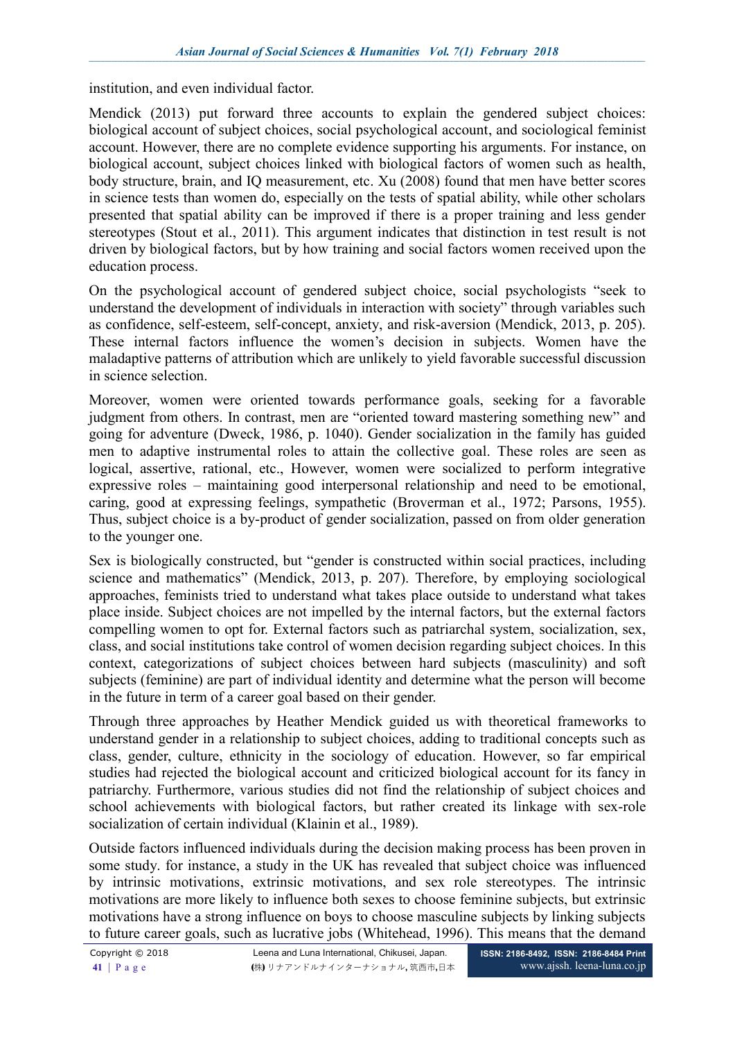institution, and even individual factor.

Mendick (2013) put forward three accounts to explain the gendered subject choices: biological account of subject choices, social psychological account, and sociological feminist account. However, there are no complete evidence supporting his arguments. For instance, on biological account, subject choices linked with biological factors of women such as health, body structure, brain, and IQ measurement, etc. Xu (2008) found that men have better scores in science tests than women do, especially on the tests of spatial ability, while other scholars presented that spatial ability can be improved if there is a proper training and less gender stereotypes (Stout et al., 2011). This argument indicates that distinction in test result is not driven by biological factors, but by how training and social factors women received upon the education process.

On the psychological account of gendered subject choice, social psychologists "seek to understand the development of individuals in interaction with society" through variables such as confidence, self-esteem, self-concept, anxiety, and risk-aversion (Mendick, 2013, p. 205). These internal factors influence the women's decision in subjects. Women have the maladaptive patterns of attribution which are unlikely to yield favorable successful discussion in science selection.

Moreover, women were oriented towards performance goals, seeking for a favorable judgment from others. In contrast, men are "oriented toward mastering something new" and going for adventure (Dweck, 1986, p. 1040). Gender socialization in the family has guided men to adaptive instrumental roles to attain the collective goal. These roles are seen as logical, assertive, rational, etc., However, women were socialized to perform integrative expressive roles – maintaining good interpersonal relationship and need to be emotional, caring, good at expressing feelings, sympathetic (Broverman et al., 1972; Parsons, 1955). Thus, subject choice is a by-product of gender socialization, passed on from older generation to the younger one.

Sex is biologically constructed, but "gender is constructed within social practices, including science and mathematics" (Mendick, 2013, p. 207). Therefore, by employing sociological approaches, feminists tried to understand what takes place outside to understand what takes place inside. Subject choices are not impelled by the internal factors, but the external factors compelling women to opt for. External factors such as patriarchal system, socialization, sex, class, and social institutions take control of women decision regarding subject choices. In this context, categorizations of subject choices between hard subjects (masculinity) and soft subjects (feminine) are part of individual identity and determine what the person will become in the future in term of a career goal based on their gender.

Through three approaches by Heather Mendick guided us with theoretical frameworks to understand gender in a relationship to subject choices, adding to traditional concepts such as class, gender, culture, ethnicity in the sociology of education. However, so far empirical studies had rejected the biological account and criticized biological account for its fancy in patriarchy. Furthermore, various studies did not find the relationship of subject choices and school achievements with biological factors, but rather created its linkage with sex-role socialization of certain individual (Klainin et al., 1989).

Outside factors influenced individuals during the decision making process has been proven in some study. for instance, a study in the UK has revealed that subject choice was influenced by intrinsic motivations, extrinsic motivations, and sex role stereotypes. The intrinsic motivations are more likely to influence both sexes to choose feminine subjects, but extrinsic motivations have a strong influence on boys to choose masculine subjects by linking subjects to future career goals, such as lucrative jobs (Whitehead, 1996). This means that the demand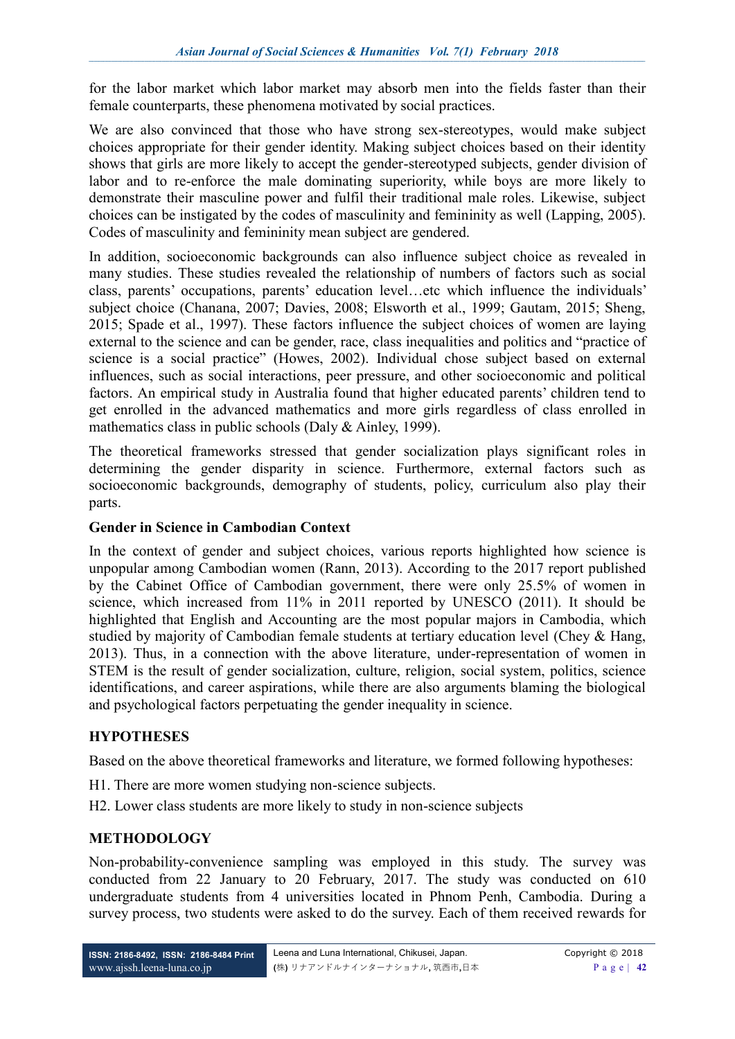for the labor market which labor market may absorb men into the fields faster than their female counterparts, these phenomena motivated by social practices.

We are also convinced that those who have strong sex-stereotypes, would make subject choices appropriate for their gender identity. Making subject choices based on their identity shows that girls are more likely to accept the gender-stereotyped subjects, gender division of labor and to re-enforce the male dominating superiority, while boys are more likely to demonstrate their masculine power and fulfil their traditional male roles. Likewise, subject choices can be instigated by the codes of masculinity and femininity as well (Lapping, 2005). Codes of masculinity and femininity mean subject are gendered.

In addition, socioeconomic backgrounds can also influence subject choice as revealed in many studies. These studies revealed the relationship of numbers of factors such as social class, parents' occupations, parents' education level…etc which influence the individuals' subject choice (Chanana, 2007; Davies, 2008; Elsworth et al., 1999; Gautam, 2015; Sheng, 2015; Spade et al., 1997). These factors influence the subject choices of women are laying external to the science and can be gender, race, class inequalities and politics and "practice of science is a social practice" (Howes, 2002). Individual chose subject based on external influences, such as social interactions, peer pressure, and other socioeconomic and political factors. An empirical study in Australia found that higher educated parents' children tend to get enrolled in the advanced mathematics and more girls regardless of class enrolled in mathematics class in public schools (Daly & Ainley, 1999).

The theoretical frameworks stressed that gender socialization plays significant roles in determining the gender disparity in science. Furthermore, external factors such as socioeconomic backgrounds, demography of students, policy, curriculum also play their parts.

#### **Gender in Science in Cambodian Context**

In the context of gender and subject choices, various reports highlighted how science is unpopular among Cambodian women (Rann, 2013). According to the 2017 report published by the Cabinet Office of Cambodian government, there were only 25.5% of women in science, which increased from 11% in 2011 reported by UNESCO (2011). It should be highlighted that English and Accounting are the most popular majors in Cambodia, which studied by majority of Cambodian female students at tertiary education level (Chey & Hang, 2013). Thus, in a connection with the above literature, under-representation of women in STEM is the result of gender socialization, culture, religion, social system, politics, science identifications, and career aspirations, while there are also arguments blaming the biological and psychological factors perpetuating the gender inequality in science.

### **HYPOTHESES**

Based on the above theoretical frameworks and literature, we formed following hypotheses:

- H1. There are more women studying non-science subjects.
- H2. Lower class students are more likely to study in non-science subjects

### **METHODOLOGY**

Non-probability-convenience sampling was employed in this study. The survey was conducted from 22 January to 20 February, 2017. The study was conducted on 610 undergraduate students from 4 universities located in Phnom Penh, Cambodia. During a survey process, two students were asked to do the survey. Each of them received rewards for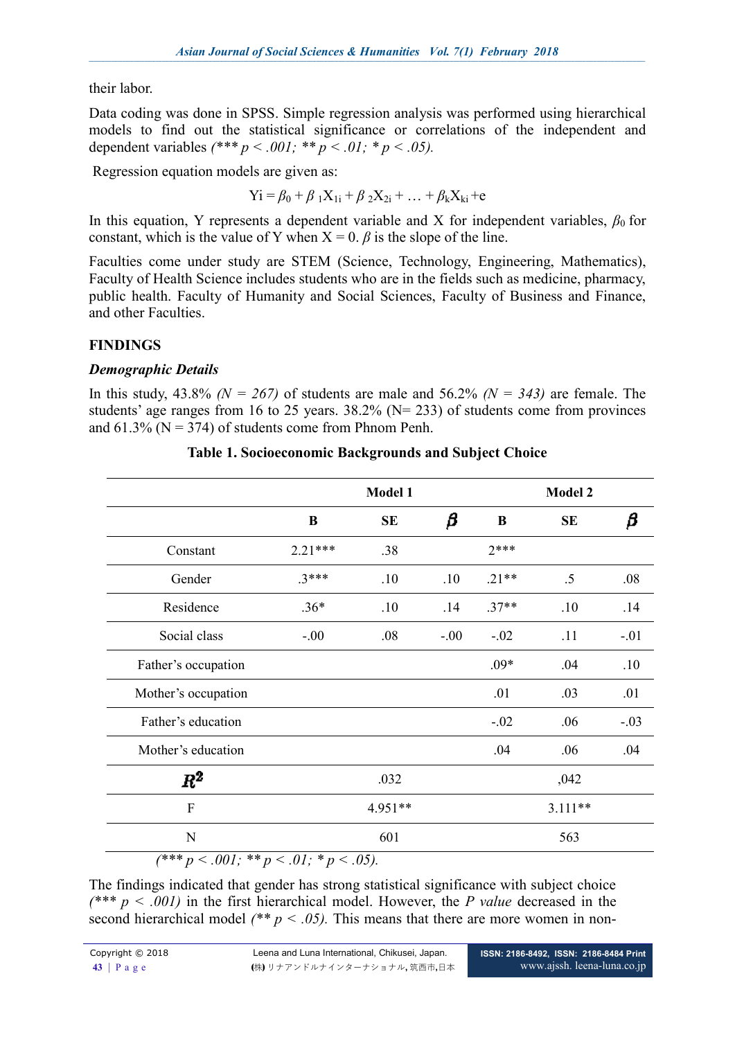their labor.

Data coding was done in SPSS. Simple regression analysis was performed using hierarchical models to find out the statistical significance or correlations of the independent and dependent variables  $(*** p < .001; ** p < .01; * p < .05)$ .

Regression equation models are given as:

$$
Yi = \beta_0 + \beta_1 X_{1i} + \beta_2 X_{2i} + \dots + \beta_k X_{ki} + e
$$

In this equation, Y represents a dependent variable and X for independent variables,  $\beta_0$  for constant, which is the value of Y when  $X = 0$ .  $\beta$  is the slope of the line.

Faculties come under study are STEM (Science, Technology, Engineering, Mathematics), Faculty of Health Science includes students who are in the fields such as medicine, pharmacy, public health. Faculty of Humanity and Social Sciences, Faculty of Business and Finance, and other Faculties.

### **FINDINGS**

### *Demographic Details*

In this study,  $43.8\%$  *(N = 267)* of students are male and  $56.2\%$  *(N = 343)* are female. The students' age ranges from 16 to 25 years. 38.2% (N= 233) of students come from provinces and  $61.3\%$  (N = 374) of students come from Phnom Penh.

|                     | <b>Model 1</b> |           |        | <b>Model 2</b> |           |        |
|---------------------|----------------|-----------|--------|----------------|-----------|--------|
|                     | B              | <b>SE</b> | β      | B              | <b>SE</b> | β      |
| Constant            | $2.21***$      | .38       |        | $7***$         |           |        |
| Gender              | $3***$         | .10       | .10    | $.21**$        | $.5\,$    | .08    |
| Residence           | $.36*$         | .10       | .14    | $.37**$        | .10       | .14    |
| Social class        | $-.00$         | .08       | $-.00$ | $-.02$         | .11       | $-.01$ |
| Father's occupation |                |           |        | $.09*$         | .04       | .10    |
| Mother's occupation |                |           |        | .01            | .03       | .01    |
| Father's education  |                |           |        | $-.02$         | .06       | $-.03$ |
| Mother's education  |                |           |        | .04            | .06       | .04    |
| $R^2$               |                | .032      |        |                | ,042      |        |
| F                   |                | 4.951**   |        |                | $3.111**$ |        |
| N                   |                | 601       |        |                | 563       |        |

### **Table 1. Socioeconomic Backgrounds and Subject Choice**

The findings indicated that gender has strong statistical significance with subject choice *(\*\*\* p < .001)* in the first hierarchical model. However, the *P value* decreased in the second hierarchical model  $(^{**}p < .05)$ . This means that there are more women in non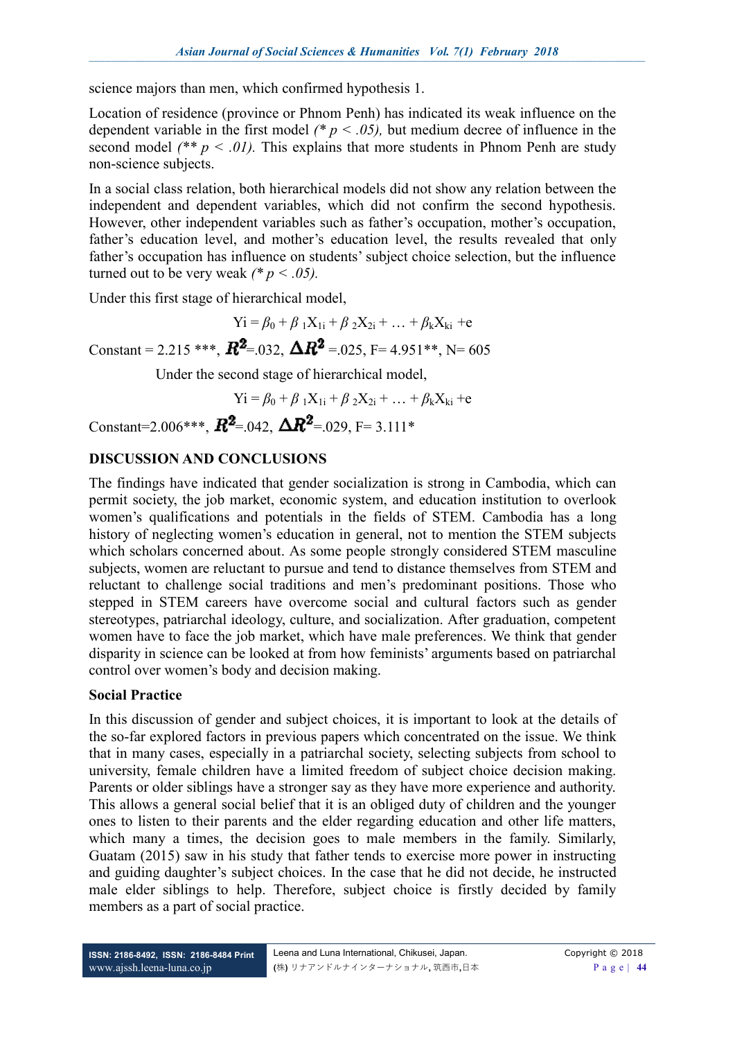science majors than men, which confirmed hypothesis 1.

Location of residence (province or Phnom Penh) has indicated its weak influence on the dependent variable in the first model *(\* p < .05),* but medium decree of influence in the second model  $(^{**}p \leq .01)$ . This explains that more students in Phnom Penh are study non-science subjects.

In a social class relation, both hierarchical models did not show any relation between the independent and dependent variables, which did not confirm the second hypothesis. However, other independent variables such as father's occupation, mother's occupation, father's education level, and mother's education level, the results revealed that only father's occupation has influence on students' subject choice selection, but the influence turned out to be very weak  $(^*p \lt .05)$ .

Under this first stage of hierarchical model,

 $Yi = \beta_0 + \beta_1 X_{1i} + \beta_2 X_{2i} + ... + \beta_k X_{ki} + e$ Constant = 2.215 \*\*\*,  $\mathbb{R}^2$  = 0.032,  $\Delta \mathbb{R}^2$  = 0.025, F= 4.951\*\*, N= 6.05

Under the second stage of hierarchical model,

 $Yi = \beta_0 + \beta_1 X_{1i} + \beta_2 X_{2i} + ... + \beta_k X_{ki} + e$ 

Constant=2.006\*\*\*,  $\mathbb{R}^2$ =.042,  $\Delta \mathbb{R}^2$ =.029, F= 3.111\*

## **DISCUSSION AND CONCLUSIONS**

The findings have indicated that gender socialization is strong in Cambodia, which can permit society, the job market, economic system, and education institution to overlook women's qualifications and potentials in the fields of STEM. Cambodia has a long history of neglecting women's education in general, not to mention the STEM subjects which scholars concerned about. As some people strongly considered STEM masculine subjects, women are reluctant to pursue and tend to distance themselves from STEM and reluctant to challenge social traditions and men's predominant positions. Those who stepped in STEM careers have overcome social and cultural factors such as gender stereotypes, patriarchal ideology, culture, and socialization. After graduation, competent women have to face the job market, which have male preferences. We think that gender disparity in science can be looked at from how feminists' arguments based on patriarchal control over women's body and decision making.

### **Social Practice**

In this discussion of gender and subject choices, it is important to look at the details of the so-far explored factors in previous papers which concentrated on the issue. We think that in many cases, especially in a patriarchal society, selecting subjects from school to university, female children have a limited freedom of subject choice decision making. Parents or older siblings have a stronger say as they have more experience and authority. This allows a general social belief that it is an obliged duty of children and the younger ones to listen to their parents and the elder regarding education and other life matters, which many a times, the decision goes to male members in the family. Similarly, Guatam (2015) saw in his study that father tends to exercise more power in instructing and guiding daughter's subject choices. In the case that he did not decide, he instructed male elder siblings to help. Therefore, subject choice is firstly decided by family members as a part of social practice.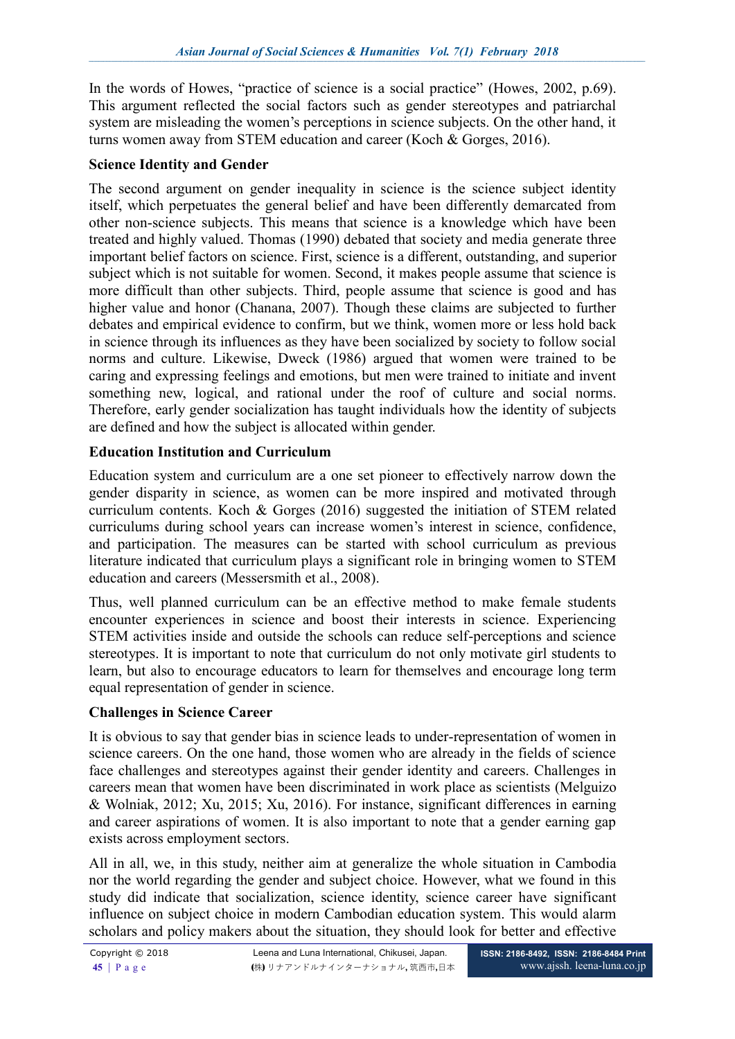In the words of Howes, "practice of science is a social practice" (Howes, 2002, p.69). This argument reflected the social factors such as gender stereotypes and patriarchal system are misleading the women's perceptions in science subjects. On the other hand, it turns women away from STEM education and career (Koch & Gorges, 2016).

#### **Science Identity and Gender**

The second argument on gender inequality in science is the science subject identity itself, which perpetuates the general belief and have been differently demarcated from other non-science subjects. This means that science is a knowledge which have been treated and highly valued. Thomas (1990) debated that society and media generate three important belief factors on science. First, science is a different, outstanding, and superior subject which is not suitable for women. Second, it makes people assume that science is more difficult than other subjects. Third, people assume that science is good and has higher value and honor (Chanana, 2007). Though these claims are subjected to further debates and empirical evidence to confirm, but we think, women more or less hold back in science through its influences as they have been socialized by society to follow social norms and culture. Likewise, Dweck (1986) argued that women were trained to be caring and expressing feelings and emotions, but men were trained to initiate and invent something new, logical, and rational under the roof of culture and social norms. Therefore, early gender socialization has taught individuals how the identity of subjects are defined and how the subject is allocated within gender.

#### **Education Institution and Curriculum**

Education system and curriculum are a one set pioneer to effectively narrow down the gender disparity in science, as women can be more inspired and motivated through curriculum contents. Koch & Gorges (2016) suggested the initiation of STEM related curriculums during school years can increase women's interest in science, confidence, and participation. The measures can be started with school curriculum as previous literature indicated that curriculum plays a significant role in bringing women to STEM education and careers (Messersmith et al., 2008).

Thus, well planned curriculum can be an effective method to make female students encounter experiences in science and boost their interests in science. Experiencing STEM activities inside and outside the schools can reduce self-perceptions and science stereotypes. It is important to note that curriculum do not only motivate girl students to learn, but also to encourage educators to learn for themselves and encourage long term equal representation of gender in science.

### **Challenges in Science Career**

It is obvious to say that gender bias in science leads to under-representation of women in science careers. On the one hand, those women who are already in the fields of science face challenges and stereotypes against their gender identity and careers. Challenges in careers mean that women have been discriminated in work place as scientists (Melguizo & Wolniak, 2012; Xu, 2015; Xu, 2016). For instance, significant differences in earning and career aspirations of women. It is also important to note that a gender earning gap exists across employment sectors.

All in all, we, in this study, neither aim at generalize the whole situation in Cambodia nor the world regarding the gender and subject choice. However, what we found in this study did indicate that socialization, science identity, science career have significant influence on subject choice in modern Cambodian education system. This would alarm scholars and policy makers about the situation, they should look for better and effective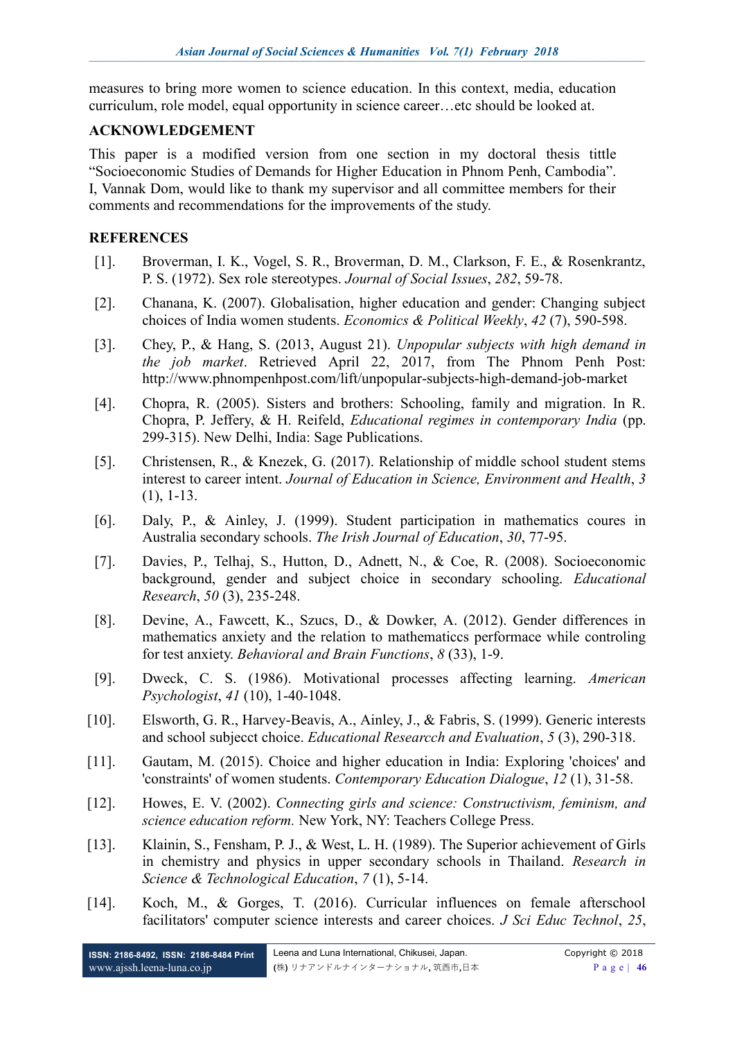measures to bring more women to science education. In this context, media, education curriculum, role model, equal opportunity in science career…etc should be looked at.

#### **ACKNOWLEDGEMENT**

This paper is a modified version from one section in my doctoral thesis tittle "Socioeconomic Studies of Demands for Higher Education in Phnom Penh, Cambodia". I, Vannak Dom, would like to thank my supervisor and all committee members for their comments and recommendations for the improvements of the study.

#### **REFERENCES**

- [1]. Broverman, I. K., Vogel, S. R., Broverman, D. M., Clarkson, F. E., & Rosenkrantz, P. S. (1972). Sex role stereotypes. *Journal of Social Issues*, *282*, 59-78.
- [2]. Chanana, K. (2007). Globalisation, higher education and gender: Changing subject choices of India women students. *Economics & Political Weekly*, *42* (7), 590-598.
- [3]. Chey, P., & Hang, S. (2013, August 21). *Unpopular subjects with high demand in the job market*. Retrieved April 22, 2017, from The Phnom Penh Post: http://www.phnompenhpost.com/lift/unpopular-subjects-high-demand-job-market
- [4]. Chopra, R. (2005). Sisters and brothers: Schooling, family and migration. In R. Chopra, P. Jeffery, & H. Reifeld, *Educational regimes in contemporary India* (pp. 299-315). New Delhi, India: Sage Publications.
- [5]. Christensen, R., & Knezek, G. (2017). Relationship of middle school student stems interest to career intent. *Journal of Education in Science, Environment and Health*, *3* (1), 1-13.
- [6]. Daly, P., & Ainley, J. (1999). Student participation in mathematics coures in Australia secondary schools. *The Irish Journal of Education*, *30*, 77-95.
- [7]. Davies, P., Telhaj, S., Hutton, D., Adnett, N., & Coe, R. (2008). Socioeconomic background, gender and subject choice in secondary schooling. *Educational Research*, *50* (3), 235-248.
- [8]. Devine, A., Fawcett, K., Szucs, D., & Dowker, A. (2012). Gender differences in mathematics anxiety and the relation to mathematiccs performace while controling for test anxiety. *Behavioral and Brain Functions*, *8* (33), 1-9.
- [9]. Dweck, C. S. (1986). Motivational processes affecting learning. *American Psychologist*, *41* (10), 1-40-1048.
- [10]. Elsworth, G. R., Harvey-Beavis, A., Ainley, J., & Fabris, S. (1999). Generic interests and school subjecct choice. *Educational Researcch and Evaluation*, *5* (3), 290-318.
- [11]. Gautam, M. (2015). Choice and higher education in India: Exploring 'choices' and 'constraints' of women students. *Contemporary Education Dialogue*, *12* (1), 31-58.
- [12]. Howes, E. V. (2002). *Connecting girls and science: Constructivism, feminism, and science education reform.* New York, NY: Teachers College Press.
- [13]. Klainin, S., Fensham, P. J., & West, L. H. (1989). The Superior achievement of Girls in chemistry and physics in upper secondary schools in Thailand. *Research in Science & Technological Education*, *7* (1), 5-14.
- [14]. Koch, M., & Gorges, T. (2016). Curricular influences on female afterschool facilitators' computer science interests and career choices. *J Sci Educ Technol*, *25*,